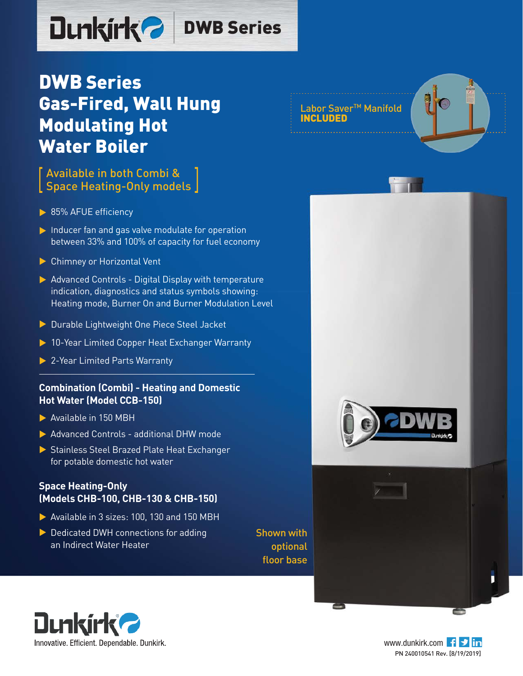# Dunkirk<sup>2</sup> DWB Series

# DWB Series Gas-Fired, Wall Hung Modulating Hot Water Boiler

### Available in both Combi & Space Heating-Only models

- 85% AFUE efficiency
- $\blacktriangleright$  Inducer fan and gas valve modulate for operation between 33% and 100% of capacity for fuel economy
- ▶ Chimney or Horizontal Vent
- $\triangleright$  Advanced Controls Digital Display with temperature indication, diagnostics and status symbols showing: Heating mode, Burner On and Burner Modulation Level
- Durable Lightweight One Piece Steel Jacket
- ▶ 10-Year Limited Copper Heat Exchanger Warranty
- ▶ 2-Year Limited Parts Warranty

#### **Combination (Combi) - Heating and Domestic Hot Water (Model CCB-150)**

- Available in 150 MBH
- Advanced Controls additional DHW mode
- Stainless Steel Brazed Plate Heat Exchanger for potable domestic hot water

#### **Space Heating-Only (Models CHB-100, CHB-130 & CHB-150)**

- Available in 3 sizes: 100, 130 and 150 MBH
- Dedicated DWH connections for adding an Indirect Water Heater

Shown with optional floor base





e



Labor Saver<sup>™</sup> Manifold INCLUDED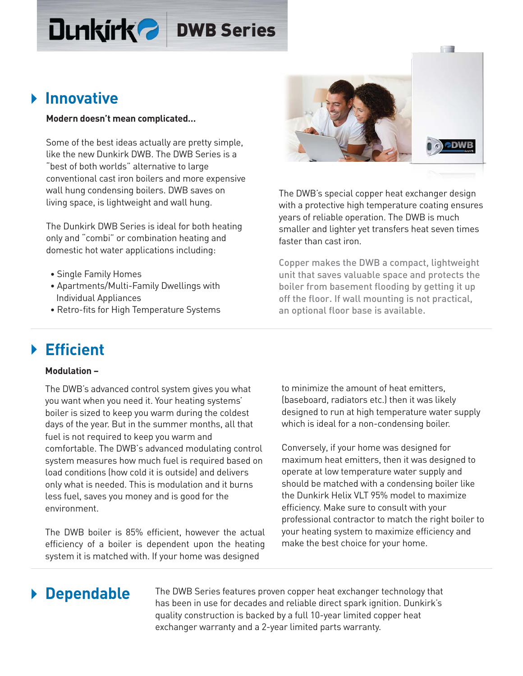### **Dunkirk<sup>2</sup>** DWB Series

### **Innovative**

#### **Modern doesn't mean complicated…**

Some of the best ideas actually are pretty simple, like the new Dunkirk DWB. The DWB Series is a "best of both worlds" alternative to large conventional cast iron boilers and more expensive wall hung condensing boilers. DWB saves on living space, is lightweight and wall hung.

The Dunkirk DWB Series is ideal for both heating only and "combi" or combination heating and domestic hot water applications including:

- Single Family Homes
- Apartments/Multi-Family Dwellings with Individual Appliances
- Retro-fits for High Temperature Systems

a s

The DWB's special copper heat exchanger design with a protective high temperature coating ensures years of reliable operation. The DWB is much smaller and lighter yet transfers heat seven times faster than cast iron.

Copper makes the DWB a compact, lightweight unit that saves valuable space and protects the boiler from basement flooding by getting it up off the floor. If wall mounting is not practical, an optional floor base is available.

## **Efficient**

#### **Modulation –**

The DWB's advanced control system gives you what you want when you need it. Your heating systems' boiler is sized to keep you warm during the coldest days of the year. But in the summer months, all that fuel is not required to keep you warm and comfortable. The DWB's advanced modulating control system measures how much fuel is required based on load conditions (how cold it is outside) and delivers only what is needed. This is modulation and it burns less fuel, saves you money and is good for the environment.

The DWB boiler is 85% efficient, however the actual efficiency of a boiler is dependent upon the heating system it is matched with. If your home was designed

to minimize the amount of heat emitters, (baseboard, radiators etc.) then it was likely designed to run at high temperature water supply which is ideal for a non-condensing boiler.

Conversely, if your home was designed for maximum heat emitters, then it was designed to operate at low temperature water supply and should be matched with a condensing boiler like the Dunkirk Helix VLT 95% model to maximize efficiency. Make sure to consult with your professional contractor to match the right boiler to your heating system to maximize efficiency and make the best choice for your home.

### **Dependable**

The DWB Series features proven copper heat exchanger technology that has been in use for decades and reliable direct spark ignition. Dunkirk's quality construction is backed by a full 10-year limited copper heat exchanger warranty and a 2-year limited parts warranty.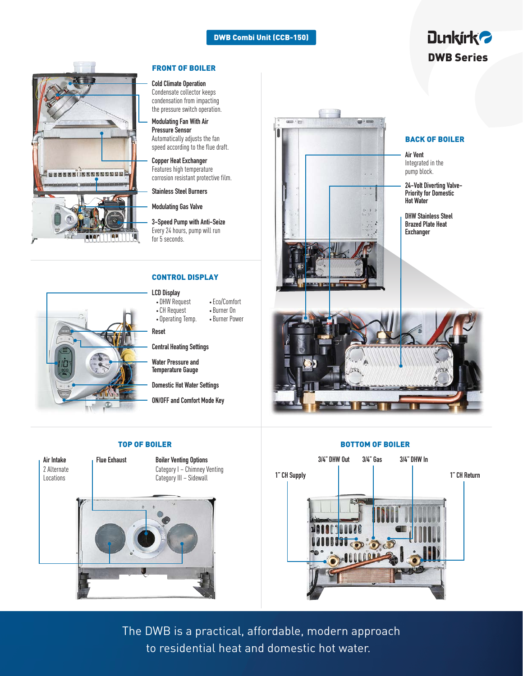#### DWB Combi Unit (CCB-150)

#### FRONT OF BOILER

#### **Cold Climate Operation**

Condensate collector keeps condensation from impacting the pressure switch operation.

**Modulating Fan With Air Pressure Sensor** Automatically adjusts the fan speed according to the flue draft.

**Copper Heat Exchanger** Features high temperature corrosion resistant protective film.

**Stainless Steel Burners**

**Modulating Gas Valve**

**3-Speed Pump with Anti-Seize** Every 24 hours, pump will run for 5 seconds.

#### CONTROL DISPLAY

#### **LCD Display** • DHW Request

- Eco/Comfort • Burner On
- CH Request
- Operating Temp. • Burner Power

**Reset**

**Central Heating Settings**

**Water Pressure and Temperature Gauge** 

**Domestic Hot Water Settings**

**ON/OFF and Comfort Mode Key**

**Air Intake** 2 Alternate Locations

s s s s s s î î s s s s s s s s s

**Flue Exhaust Boiler Venting Options** Category I – Chimney Venting

Category III – Sidewall





#### TOP OF BOILER **BOTTOM OF BOILER**



The DWB is a practical, affordable, modern approach to residential heat and domestic hot water.

### **Dunkirk<sup>2</sup>** DWB Series

#### BACK OF BOILER

Integrated in the pump block.

**24-Volt Diverting Valve-Priority for Domestic**

**Brazed Plate Heat Exchanger** 

**DHW Stainless Steel**